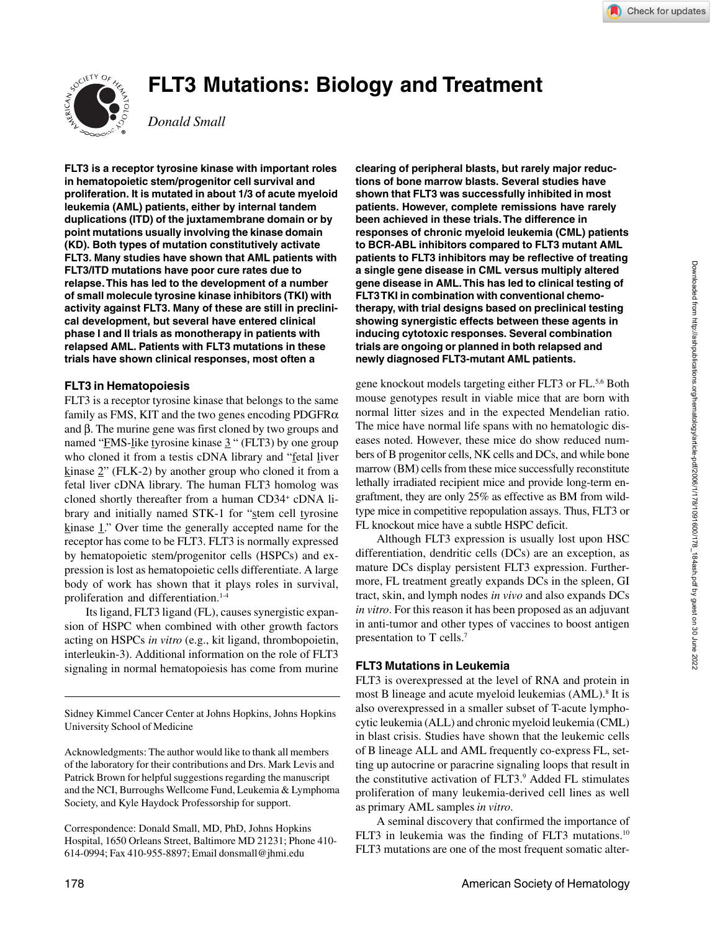# **FLT3 Mutations: Biology and Treatment**



*Donald Small*

**FLT3 is a receptor tyrosine kinase with important roles in hematopoietic stem/progenitor cell survival and proliferation. It is mutated in about 1/3 of acute myeloid leukemia (AML) patients, either by internal tandem duplications (ITD) of the juxtamembrane domain or by point mutations usually involving the kinase domain (KD). Both types of mutation constitutively activate FLT3. Many studies have shown that AML patients with FLT3/ITD mutations have poor cure rates due to relapse. This has led to the development of a number of small molecule tyrosine kinase inhibitors (TKI) with activity against FLT3. Many of these are still in preclinical development, but several have entered clinical phase I and II trials as monotherapy in patients with relapsed AML. Patients with FLT3 mutations in these trials have shown clinical responses, most often a**

## **FLT3 in Hematopoiesis**

FLT3 is a receptor tyrosine kinase that belongs to the same family as FMS, KIT and the two genes encoding  $PDGFR\alpha$ and β. The murine gene was first cloned by two groups and named "FMS-like tyrosine kinase 3" (FLT3) by one group who cloned it from a testis cDNA library and "fetal liver kinase  $2$ " (FLK-2) by another group who cloned it from a fetal liver cDNA library. The human FLT3 homolog was cloned shortly thereafter from a human CD34+ cDNA library and initially named STK-1 for "stem cell tyrosine kinase 1." Over time the generally accepted name for the receptor has come to be FLT3. FLT3 is normally expressed by hematopoietic stem/progenitor cells (HSPCs) and expression is lost as hematopoietic cells differentiate. A large body of work has shown that it plays roles in survival, proliferation and differentiation.<sup>14</sup>

Its ligand, FLT3 ligand (FL), causes synergistic expansion of HSPC when combined with other growth factors acting on HSPCs *in vitro* (e.g., kit ligand, thrombopoietin, interleukin-3). Additional information on the role of FLT3 signaling in normal hematopoiesis has come from murine

Sidney Kimmel Cancer Center at Johns Hopkins, Johns Hopkins University School of Medicine

Acknowledgments: The author would like to thank all members of the laboratory for their contributions and Drs. Mark Levis and Patrick Brown for helpful suggestions regarding the manuscript and the NCI, Burroughs Wellcome Fund, Leukemia & Lymphoma Society, and Kyle Haydock Professorship for support.

Correspondence: Donald Small, MD, PhD, Johns Hopkins Hospital, 1650 Orleans Street, Baltimore MD 21231; Phone 410- 614-0994; Fax 410-955-8897; Email donsmall@jhmi.edu

**clearing of peripheral blasts, but rarely major reductions of bone marrow blasts. Several studies have shown that FLT3 was successfully inhibited in most patients. However, complete remissions have rarely been achieved in these trials. The difference in responses of chronic myeloid leukemia (CML) patients to BCR-ABL inhibitors compared to FLT3 mutant AML patients to FLT3 inhibitors may be reflective of treating a single gene disease in CML versus multiply altered gene disease in AML. This has led to clinical testing of FLT3 TKI in combination with conventional chemotherapy, with trial designs based on preclinical testing showing synergistic effects between these agents in inducing cytotoxic responses. Several combination trials are ongoing or planned in both relapsed and newly diagnosed FLT3-mutant AML patients.**

gene knockout models targeting either FLT3 or FL.5,6 Both mouse genotypes result in viable mice that are born with normal litter sizes and in the expected Mendelian ratio. The mice have normal life spans with no hematologic diseases noted. However, these mice do show reduced numbers of B progenitor cells, NK cells and DCs, and while bone marrow (BM) cells from these mice successfully reconstitute lethally irradiated recipient mice and provide long-term engraftment, they are only 25% as effective as BM from wildtype mice in competitive repopulation assays. Thus, FLT3 or FL knockout mice have a subtle HSPC deficit.

Although FLT3 expression is usually lost upon HSC differentiation, dendritic cells (DCs) are an exception, as mature DCs display persistent FLT3 expression. Furthermore, FL treatment greatly expands DCs in the spleen, GI tract, skin, and lymph nodes *in vivo* and also expands DCs *in vitro*. For this reason it has been proposed as an adjuvant in anti-tumor and other types of vaccines to boost antigen presentation to T cells.7

## **FLT3 Mutations in Leukemia**

FLT3 is overexpressed at the level of RNA and protein in most B lineage and acute myeloid leukemias (AML).<sup>8</sup> It is also overexpressed in a smaller subset of T-acute lymphocytic leukemia (ALL) and chronic myeloid leukemia (CML) in blast crisis. Studies have shown that the leukemic cells of B lineage ALL and AML frequently co-express FL, setting up autocrine or paracrine signaling loops that result in the constitutive activation of FLT3.<sup>9</sup> Added FL stimulates proliferation of many leukemia-derived cell lines as well as primary AML samples *in vitro*.

A seminal discovery that confirmed the importance of FLT3 in leukemia was the finding of FLT3 mutations.10 FLT3 mutations are one of the most frequent somatic alter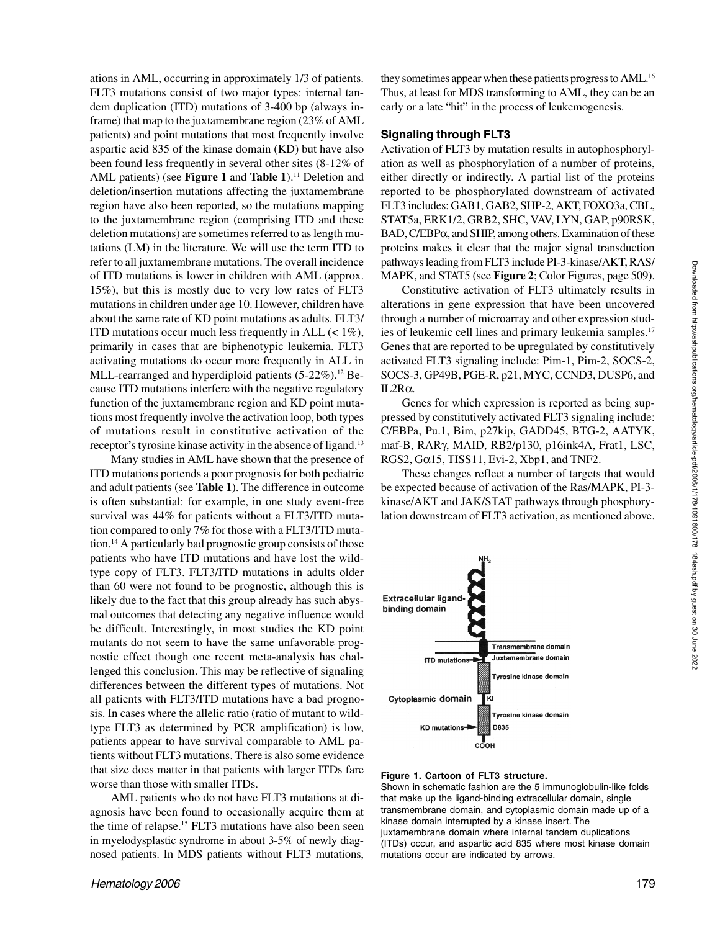ations in AML, occurring in approximately 1/3 of patients. FLT3 mutations consist of two major types: internal tandem duplication (ITD) mutations of 3-400 bp (always inframe) that map to the juxtamembrane region (23% of AML patients) and point mutations that most frequently involve aspartic acid 835 of the kinase domain (KD) but have also been found less frequently in several other sites (8-12% of AML patients) (see **Figure 1** and **Table 1**).<sup>11</sup> Deletion and deletion/insertion mutations affecting the juxtamembrane region have also been reported, so the mutations mapping to the juxtamembrane region (comprising ITD and these deletion mutations) are sometimes referred to as length mutations (LM) in the literature. We will use the term ITD to refer to all juxtamembrane mutations. The overall incidence of ITD mutations is lower in children with AML (approx. 15%), but this is mostly due to very low rates of FLT3 mutations in children under age 10. However, children have about the same rate of KD point mutations as adults. FLT3/ ITD mutations occur much less frequently in ALL  $(< 1\%)$ , primarily in cases that are biphenotypic leukemia. FLT3 activating mutations do occur more frequently in ALL in MLL-rearranged and hyperdiploid patients  $(5-22\%)$ .<sup>12</sup> Because ITD mutations interfere with the negative regulatory function of the juxtamembrane region and KD point mutations most frequently involve the activation loop, both types of mutations result in constitutive activation of the receptor's tyrosine kinase activity in the absence of ligand.<sup>13</sup>

Many studies in AML have shown that the presence of ITD mutations portends a poor prognosis for both pediatric and adult patients (see **Table 1**). The difference in outcome is often substantial: for example, in one study event-free survival was 44% for patients without a FLT3/ITD mutation compared to only 7% for those with a FLT3/ITD mutation.14 A particularly bad prognostic group consists of those patients who have ITD mutations and have lost the wildtype copy of FLT3. FLT3/ITD mutations in adults older than 60 were not found to be prognostic, although this is likely due to the fact that this group already has such abysmal outcomes that detecting any negative influence would be difficult. Interestingly, in most studies the KD point mutants do not seem to have the same unfavorable prognostic effect though one recent meta-analysis has challenged this conclusion. This may be reflective of signaling differences between the different types of mutations. Not all patients with FLT3/ITD mutations have a bad prognosis. In cases where the allelic ratio (ratio of mutant to wildtype FLT3 as determined by PCR amplification) is low, patients appear to have survival comparable to AML patients without FLT3 mutations. There is also some evidence that size does matter in that patients with larger ITDs fare worse than those with smaller ITDs.

AML patients who do not have FLT3 mutations at diagnosis have been found to occasionally acquire them at the time of relapse.15 FLT3 mutations have also been seen in myelodysplastic syndrome in about 3-5% of newly diagnosed patients. In MDS patients without FLT3 mutations,

they sometimes appear when these patients progress to AML.<sup>16</sup> Thus, at least for MDS transforming to AML, they can be an early or a late "hit" in the process of leukemogenesis.

## **Signaling through FLT3**

Activation of FLT3 by mutation results in autophosphorylation as well as phosphorylation of a number of proteins, either directly or indirectly. A partial list of the proteins reported to be phosphorylated downstream of activated FLT3 includes: GAB1, GAB2, SHP-2, AKT, FOXO3a, CBL, STAT5a, ERK1/2, GRB2, SHC, VAV, LYN, GAP, p90RSK, BAD, C/EBPα, and SHIP, among others. Examination of these proteins makes it clear that the major signal transduction pathways leading from FLT3 include PI-3-kinase/AKT, RAS/ MAPK, and STAT5 (see **Figure 2**; Color Figures, page 509).

Constitutive activation of FLT3 ultimately results in alterations in gene expression that have been uncovered through a number of microarray and other expression studies of leukemic cell lines and primary leukemia samples.<sup>17</sup> Genes that are reported to be upregulated by constitutively activated FLT3 signaling include: Pim-1, Pim-2, SOCS-2, SOCS-3, GP49B, PGE-R, p21, MYC, CCND3, DUSP6, and IL2Rα.

Genes for which expression is reported as being suppressed by constitutively activated FLT3 signaling include: C/EBPa, Pu.1, Bim, p27kip, GADD45, BTG-2, AATYK, maf-B, RARγ, MAID, RB2/p130, p16ink4A, Frat1, LSC, RGS2,  $G\alpha$ 15, TISS11, Evi-2, Xbp1, and TNF2.

These changes reflect a number of targets that would be expected because of activation of the Ras/MAPK, PI-3 kinase/AKT and JAK/STAT pathways through phosphorylation downstream of FLT3 activation, as mentioned above.



#### **Figure 1. Cartoon of FLT3 structure.**

Shown in schematic fashion are the 5 immunoglobulin-like folds that make up the ligand-binding extracellular domain, single transmembrane domain, and cytoplasmic domain made up of a kinase domain interrupted by a kinase insert. The juxtamembrane domain where internal tandem duplications (ITDs) occur, and aspartic acid 835 where most kinase domain mutations occur are indicated by arrows.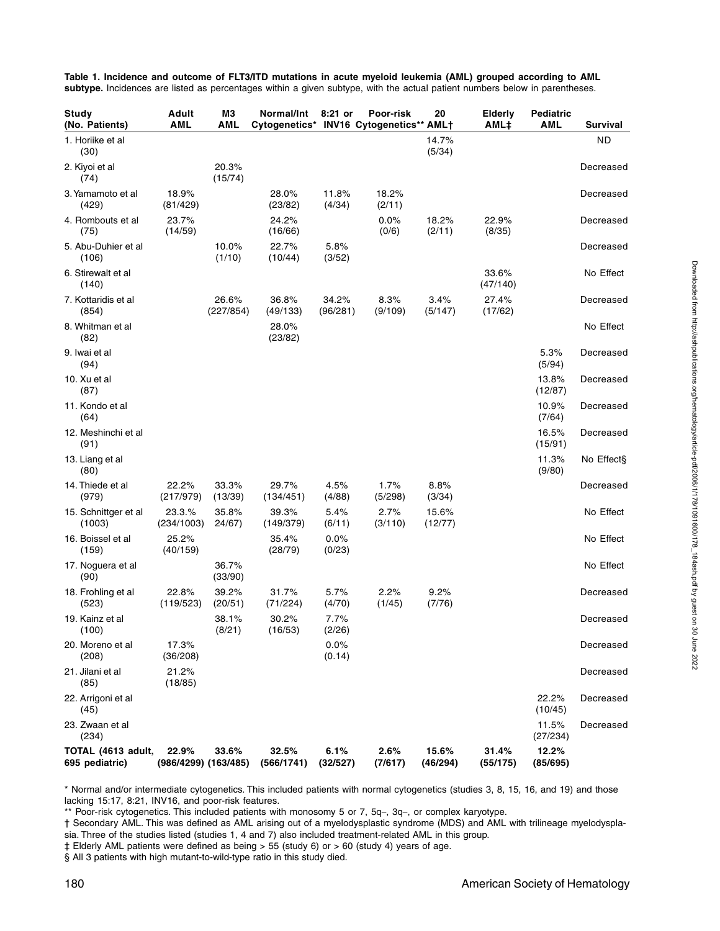| Study<br>(No. Patients)              | Adult<br><b>AML</b>           | ΜЗ<br>AML          | Normal/Int<br>Cytogenetics* INV16 Cytogenetics** AML+ | 8:21 or           | Poor-risk       | 20                | Elderly<br>AML‡   | Pediatric<br>AML  | <b>Survival</b> |
|--------------------------------------|-------------------------------|--------------------|-------------------------------------------------------|-------------------|-----------------|-------------------|-------------------|-------------------|-----------------|
| 1. Horiike et al<br>(30)             |                               |                    |                                                       |                   |                 | 14.7%<br>(5/34)   |                   |                   | <b>ND</b>       |
| 2. Kiyoi et al<br>(74)               |                               | 20.3%<br>(15/74)   |                                                       |                   |                 |                   |                   |                   | Decreased       |
| 3. Yamamoto et al<br>(429)           | 18.9%<br>(81/429)             |                    | 28.0%<br>(23/82)                                      | 11.8%<br>(4/34)   | 18.2%<br>(2/11) |                   |                   |                   | Decreased       |
| 4. Rombouts et al<br>(75)            | 23.7%<br>(14/59)              |                    | 24.2%<br>(16/66)                                      |                   | 0.0%<br>(0/6)   | 18.2%<br>(2/11)   | 22.9%<br>(8/35)   |                   | Decreased       |
| 5. Abu-Duhier et al<br>(106)         |                               | 10.0%<br>(1/10)    | 22.7%<br>(10/44)                                      | 5.8%<br>(3/52)    |                 |                   |                   |                   | Decreased       |
| 6. Stirewalt et al<br>(140)          |                               |                    |                                                       |                   |                 |                   | 33.6%<br>(47/140) |                   | No Effect       |
| 7. Kottaridis et al<br>(854)         |                               | 26.6%<br>(227/854) | 36.8%<br>(49/133)                                     | 34.2%<br>(96/281) | 8.3%<br>(9/109) | 3.4%<br>(5/147)   | 27.4%<br>(17/62)  |                   | Decreased       |
| 8. Whitman et al<br>(82)             |                               |                    | 28.0%<br>(23/82)                                      |                   |                 |                   |                   |                   | No Effect       |
| 9. Iwai et al<br>(94)                |                               |                    |                                                       |                   |                 |                   |                   | 5.3%<br>(5/94)    | Decreased       |
| 10. Xu et al<br>(87)                 |                               |                    |                                                       |                   |                 |                   |                   | 13.8%<br>(12/87)  | Decreased       |
| 11. Kondo et al<br>(64)              |                               |                    |                                                       |                   |                 |                   |                   | 10.9%<br>(7/64)   | Decreased       |
| 12. Meshinchi et al<br>(91)          |                               |                    |                                                       |                   |                 |                   |                   | 16.5%<br>(15/91)  | Decreased       |
| 13. Liang et al<br>(80)              |                               |                    |                                                       |                   |                 |                   |                   | 11.3%<br>(9/80)   | No Effect§      |
| 14. Thiede et al<br>(979)            | 22.2%<br>(217/979)            | 33.3%<br>(13/39)   | 29.7%<br>(134/451)                                    | 4.5%<br>(4/88)    | 1.7%<br>(5/298) | 8.8%<br>(3/34)    |                   |                   | Decreased       |
| 15. Schnittger et al<br>(1003)       | 23.3.%<br>(234/1003)          | 35.8%<br>24/67)    | 39.3%<br>(149/379)                                    | 5.4%<br>(6/11)    | 2.7%<br>(3/110) | 15.6%<br>(12/77)  |                   |                   | No Effect       |
| 16. Boissel et al<br>(159)           | 25.2%<br>(40/159)             |                    | 35.4%<br>(28/79)                                      | 0.0%<br>(0/23)    |                 |                   |                   |                   | No Effect       |
| 17. Noguera et al<br>(90)            |                               | 36.7%<br>(33/90)   |                                                       |                   |                 |                   |                   |                   | No Effect       |
| 18. Frohling et al<br>(523)          | 22.8%<br>(119/523)            | 39.2%<br>(20/51)   | 31.7%<br>(71/224)                                     | 5.7%<br>(4/70)    | 2.2%<br>(1/45)  | 9.2%<br>(7/76)    |                   |                   | Decreased       |
| 19. Kainz et al<br>(100)             |                               | 38.1%<br>(8/21)    | 30.2%<br>(16/53)                                      | 7.7%<br>(2/26)    |                 |                   |                   |                   | Decreased       |
| 20. Moreno et al<br>(208)            | 17.3%<br>(36/208)             |                    |                                                       | 0.0%<br>(0.14)    |                 |                   |                   |                   | Decreased       |
| 21. Jilani et al<br>(85)             | 21.2%<br>(18/85)              |                    |                                                       |                   |                 |                   |                   |                   | Decreased       |
| 22. Arrigoni et al<br>(45)           |                               |                    |                                                       |                   |                 |                   |                   | 22.2%<br>(10/45)  | Decreased       |
| 23. Zwaan et al<br>(234)             |                               |                    |                                                       |                   |                 |                   |                   | 11.5%<br>(27/234) | Decreased       |
| TOTAL (4613 adult,<br>695 pediatric) | 22.9%<br>(986/4299) (163/485) | 33.6%              | 32.5%<br>(566/1741)                                   | 6.1%<br>(32/527)  | 2.6%<br>(7/617) | 15.6%<br>(46/294) | 31.4%<br>(55/175) | 12.2%<br>(85/695) |                 |

**Table 1. Incidence and outcome of FLT3/ITD mutations in acute myeloid leukemia (AML) grouped according to AML** subtype. Incidences are listed as percentages within a given subtype, with the actual patient numbers below in parentheses.

\* Normal and/or intermediate cytogenetics. This included patients with normal cytogenetics (studies 3, 8, 15, 16, and 19) and those lacking 15:17, 8:21, INV16, and poor-risk features.

\*\* Poor-risk cytogenetics. This included patients with monosomy 5 or 7, 5q–, 3q–, or complex karyotype.

† Secondary AML. This was defined as AML arising out of a myelodysplastic syndrome (MDS) and AML with trilineage myelodysplasia. Three of the studies listed (studies 1, 4 and 7) also included treatment-related AML in this group.

‡ Elderly AML patients were defined as being > 55 (study 6) or > 60 (study 4) years of age.

§ All 3 patients with high mutant-to-wild-type ratio in this study died.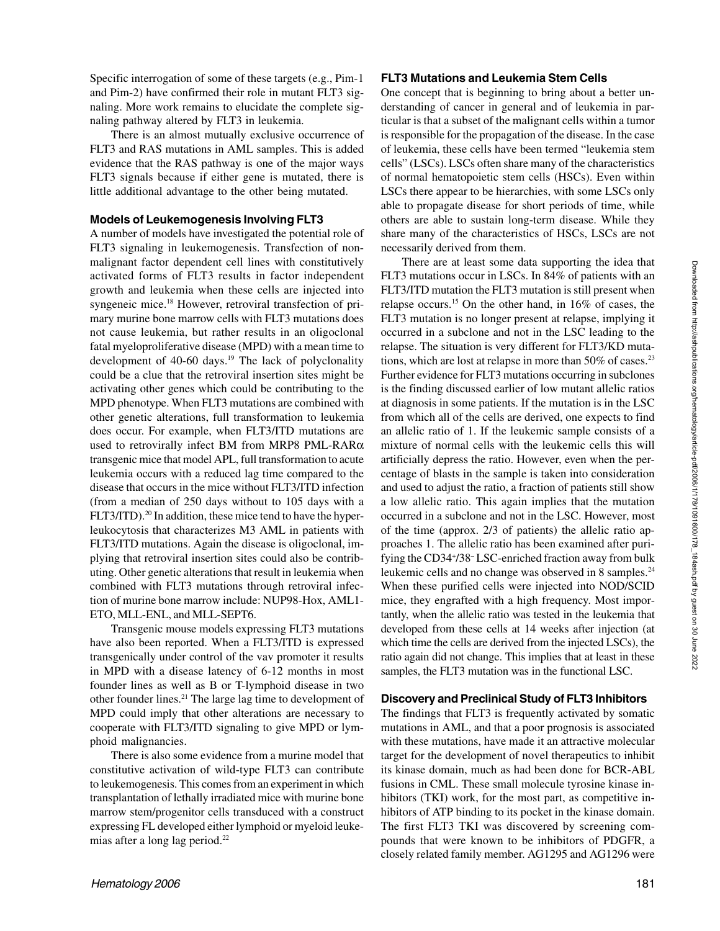Specific interrogation of some of these targets (e.g., Pim-1 and Pim-2) have confirmed their role in mutant FLT3 signaling. More work remains to elucidate the complete signaling pathway altered by FLT3 in leukemia.

There is an almost mutually exclusive occurrence of FLT3 and RAS mutations in AML samples. This is added evidence that the RAS pathway is one of the major ways FLT3 signals because if either gene is mutated, there is little additional advantage to the other being mutated.

### **Models of Leukemogenesis Involving FLT3**

A number of models have investigated the potential role of FLT3 signaling in leukemogenesis. Transfection of nonmalignant factor dependent cell lines with constitutively activated forms of FLT3 results in factor independent growth and leukemia when these cells are injected into syngeneic mice.18 However, retroviral transfection of primary murine bone marrow cells with FLT3 mutations does not cause leukemia, but rather results in an oligoclonal fatal myeloproliferative disease (MPD) with a mean time to development of 40-60 days.<sup>19</sup> The lack of polyclonality could be a clue that the retroviral insertion sites might be activating other genes which could be contributing to the MPD phenotype. When FLT3 mutations are combined with other genetic alterations, full transformation to leukemia does occur. For example, when FLT3/ITD mutations are used to retrovirally infect BM from MRP8 PML-RARα transgenic mice that model APL, full transformation to acute leukemia occurs with a reduced lag time compared to the disease that occurs in the mice without FLT3/ITD infection (from a median of 250 days without to 105 days with a FLT3/ITD).<sup>20</sup> In addition, these mice tend to have the hyperleukocytosis that characterizes M3 AML in patients with FLT3/ITD mutations. Again the disease is oligoclonal, implying that retroviral insertion sites could also be contributing. Other genetic alterations that result in leukemia when combined with FLT3 mutations through retroviral infection of murine bone marrow include: NUP98-Hox, AML1- ETO, MLL-ENL, and MLL-SEPT6.

Transgenic mouse models expressing FLT3 mutations have also been reported. When a FLT3/ITD is expressed transgenically under control of the vav promoter it results in MPD with a disease latency of 6-12 months in most founder lines as well as B or T-lymphoid disease in two other founder lines.21 The large lag time to development of MPD could imply that other alterations are necessary to cooperate with FLT3/ITD signaling to give MPD or lymphoid malignancies.

There is also some evidence from a murine model that constitutive activation of wild-type FLT3 can contribute to leukemogenesis. This comes from an experiment in which transplantation of lethally irradiated mice with murine bone marrow stem/progenitor cells transduced with a construct expressing FL developed either lymphoid or myeloid leukemias after a long lag period.22

#### **FLT3 Mutations and Leukemia Stem Cells**

One concept that is beginning to bring about a better understanding of cancer in general and of leukemia in particular is that a subset of the malignant cells within a tumor is responsible for the propagation of the disease. In the case of leukemia, these cells have been termed "leukemia stem cells" (LSCs). LSCs often share many of the characteristics of normal hematopoietic stem cells (HSCs). Even within LSCs there appear to be hierarchies, with some LSCs only able to propagate disease for short periods of time, while others are able to sustain long-term disease. While they share many of the characteristics of HSCs, LSCs are not necessarily derived from them.

There are at least some data supporting the idea that FLT3 mutations occur in LSCs. In 84% of patients with an FLT3/ITD mutation the FLT3 mutation is still present when relapse occurs.15 On the other hand, in 16% of cases, the FLT3 mutation is no longer present at relapse, implying it occurred in a subclone and not in the LSC leading to the relapse. The situation is very different for FLT3/KD mutations, which are lost at relapse in more than  $50\%$  of cases.<sup>23</sup> Further evidence for FLT3 mutations occurring in subclones is the finding discussed earlier of low mutant allelic ratios at diagnosis in some patients. If the mutation is in the LSC from which all of the cells are derived, one expects to find an allelic ratio of 1. If the leukemic sample consists of a mixture of normal cells with the leukemic cells this will artificially depress the ratio. However, even when the percentage of blasts in the sample is taken into consideration and used to adjust the ratio, a fraction of patients still show a low allelic ratio. This again implies that the mutation occurred in a subclone and not in the LSC. However, most of the time (approx. 2/3 of patients) the allelic ratio approaches 1. The allelic ratio has been examined after purifying the CD34+ /38– LSC-enriched fraction away from bulk leukemic cells and no change was observed in 8 samples.<sup>24</sup> When these purified cells were injected into NOD/SCID mice, they engrafted with a high frequency. Most importantly, when the allelic ratio was tested in the leukemia that developed from these cells at 14 weeks after injection (at which time the cells are derived from the injected LSCs), the ratio again did not change. This implies that at least in these samples, the FLT3 mutation was in the functional LSC.

#### **Discovery and Preclinical Study of FLT3 Inhibitors**

The findings that FLT3 is frequently activated by somatic mutations in AML, and that a poor prognosis is associated with these mutations, have made it an attractive molecular target for the development of novel therapeutics to inhibit its kinase domain, much as had been done for BCR-ABL fusions in CML. These small molecule tyrosine kinase inhibitors (TKI) work, for the most part, as competitive inhibitors of ATP binding to its pocket in the kinase domain. The first FLT3 TKI was discovered by screening compounds that were known to be inhibitors of PDGFR, a closely related family member. AG1295 and AG1296 were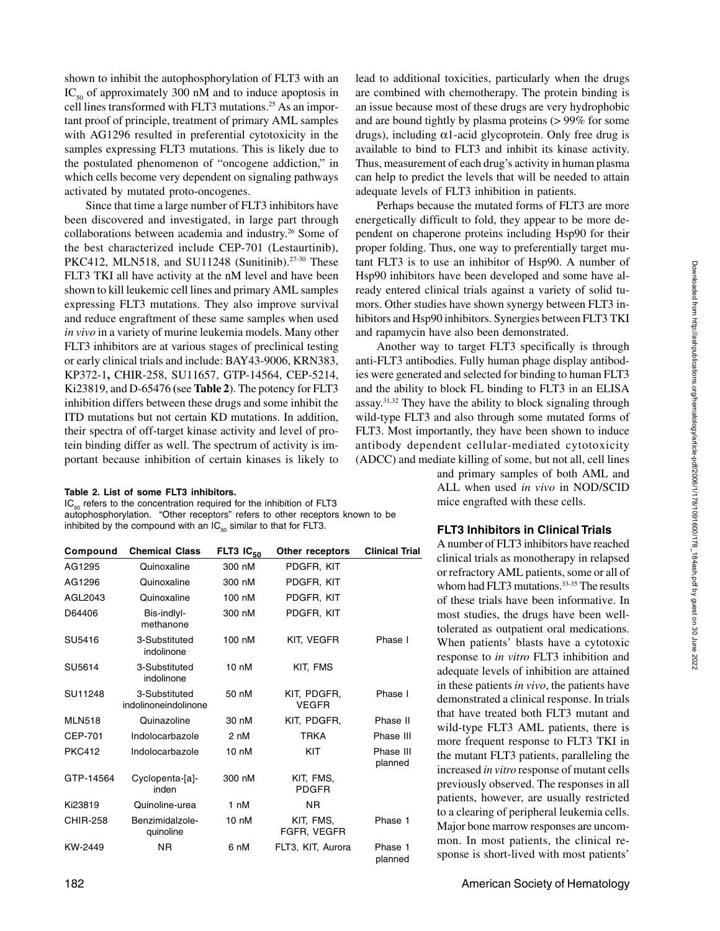shown to inhibit the autophosphorylation of FLT3 with an  $IC_{50}$  of approximately 300 nM and to induce apoptosis in cell lines transformed with FLT3 mutations.<sup>25</sup> As an important proof of principle, treatment of primary AML samples with AG1296 resulted in preferential cytotoxicity in the samples expressing FLT3 mutations. This is likely due to the postulated phenomenon of "oncogene addiction," in which cells become very dependent on signaling pathways activated by mutated proto-oncogenes.

Since that time a large number of FLT3 inhibitors have been discovered and investigated, in large part through collaborations between academia and industry.<sup>26</sup> Some of the best characterized include CEP-701 (Lestaurtinib), PKC412, MLN518, and SU11248 (Sunitinib).<sup>27-30</sup> These FLT3 TKI all have activity at the nM level and have been shown to kill leukemic cell lines and primary AML samples expressing FLT3 mutations. They also improve survival and reduce engraftment of these same samples when used *in vivo* in a variety of murine leukemia models. Many other FLT3 inhibitors are at various stages of preclinical testing or early clinical trials and include: BAY43-9006, KRN383, KP372-1**,** CHIR-258, SU11657, GTP-14564, CEP-5214, Ki23819, and D-65476 **(**see **Table 2**). The potency for FLT3 inhibition differs between these drugs and some inhibit the ITD mutations but not certain KD mutations. In addition, their spectra of off-target kinase activity and level of protein binding differ as well. The spectrum of activity is important because inhibition of certain kinases is likely to

#### **Table 2. List of some FLT3 inhibitors.**

 $IC_{50}$  refers to the concentration required for the inhibition of FLT3 autophosphorylation. "Other receptors" refers to other receptors known to be inhibited by the compound with an  $IC_{50}$  similar to that for FLT3.

| Compound        | <b>Chemical Class</b>                 | FLT3 $IC_{50}$   | Other receptors             | <b>Clinical Trial</b> |
|-----------------|---------------------------------------|------------------|-----------------------------|-----------------------|
| AG1295          | Quinoxaline                           | 300 nM           | PDGFR, KIT                  |                       |
| AG1296          | Quinoxaline                           | 300 nM           | PDGFR, KIT                  |                       |
| AGL2043         | Quinoxaline                           | 100 nM           | PDGFR, KIT                  |                       |
| D64406          | Bis-indlyl-<br>methanone              | 300 nM           | PDGFR, KIT                  |                       |
| SU5416          | 3-Substituted<br>indolinone           | 100 nM           | KIT, VEGFR                  | Phase I               |
| SU5614          | 3-Substituted<br>indolinone           | $10 \text{ nM}$  | KIT, FMS                    |                       |
| SU11248         | 3-Substituted<br>indolinoneindolinone | 50 nM            | KIT, PDGFR,<br><b>VEGFR</b> | Phase I               |
| <b>MLN518</b>   | Quinazoline                           | 30 nM            | KIT, PDGFR,                 | Phase II              |
| CEP-701         | Indolocarbazole                       | 2 nM             | <b>TRKA</b>                 | Phase III             |
| <b>PKC412</b>   | Indolocarbazole                       | $10 \text{ nM}$  | KIT                         | Phase III<br>planned  |
| GTP-14564       | Cyclopenta-[a]-<br>inden              | 300 nM           | KIT, FMS,<br><b>PDGFR</b>   |                       |
| Ki23819         | Quinoline-urea                        | 1 nM             | <b>NR</b>                   |                       |
| <b>CHIR-258</b> | Benzimidalzole-<br>quinoline          | 10 <sub>nh</sub> | KIT, FMS,<br>FGFR, VEGFR    | Phase 1               |
| KW-2449         | ΝR                                    | 6 nM             | FLT3, KIT, Aurora           | Phase 1<br>planned    |

lead to additional toxicities, particularly when the drugs are combined with chemotherapy. The protein binding is an issue because most of these drugs are very hydrophobic and are bound tightly by plasma proteins (> 99% for some drugs), including  $\alpha$ 1-acid glycoprotein. Only free drug is available to bind to FLT3 and inhibit its kinase activity. Thus, measurement of each drug's activity in human plasma can help to predict the levels that will be needed to attain adequate levels of FLT3 inhibition in patients.

Perhaps because the mutated forms of FLT3 are more energetically difficult to fold, they appear to be more dependent on chaperone proteins including Hsp90 for their proper folding. Thus, one way to preferentially target mutant FLT3 is to use an inhibitor of Hsp90. A number of Hsp90 inhibitors have been developed and some have already entered clinical trials against a variety of solid tumors. Other studies have shown synergy between FLT3 inhibitors and Hsp90 inhibitors. Synergies between FLT3 TKI and rapamycin have also been demonstrated.

Another way to target FLT3 specifically is through anti-FLT3 antibodies. Fully human phage display antibodies were generated and selected for binding to human FLT3 and the ability to block FL binding to FLT3 in an ELISA  $assay<sup>31,32</sup>$  They have the ability to block signaling through wild-type FLT3 and also through some mutated forms of FLT3. Most importantly, they have been shown to induce antibody dependent cellular-mediated cytotoxicity (ADCC) and mediate killing of some, but not all, cell lines

> and primary samples of both AML and ALL when used *in vivo* in NOD/SCID mice engrafted with these cells.

## **FLT3 Inhibitors in Clinical Trials**

A number of FLT3 inhibitors have reached clinical trials as monotherapy in relapsed or refractory AML patients, some or all of whom had FLT3 mutations.<sup>33-35</sup> The results of these trials have been informative. In most studies, the drugs have been welltolerated as outpatient oral medications. When patients' blasts have a cytotoxic response to *in vitro* FLT3 inhibition and adequate levels of inhibition are attained in these patients *in vivo*, the patients have demonstrated a clinical response. In trials that have treated both FLT3 mutant and wild-type FLT3 AML patients, there is more frequent response to FLT3 TKI in the mutant FLT3 patients, paralleling the increased *in vitro* response of mutant cells previously observed. The responses in all patients, however, are usually restricted to a clearing of peripheral leukemia cells. Major bone marrow responses are uncommon. In most patients, the clinical response is short-lived with most patients'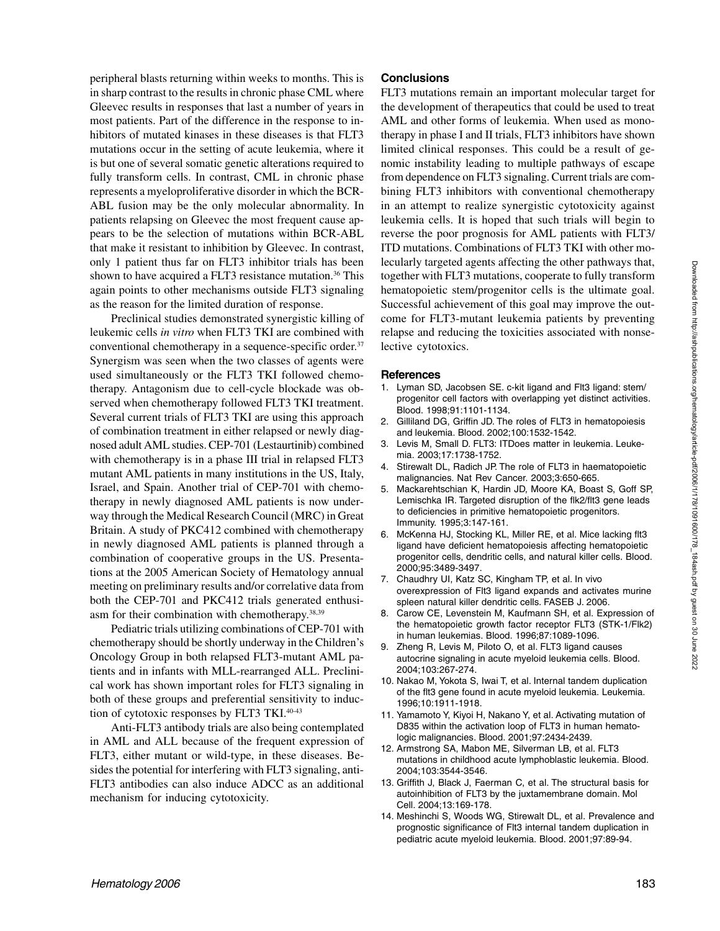peripheral blasts returning within weeks to months. This is in sharp contrast to the results in chronic phase CML where Gleevec results in responses that last a number of years in most patients. Part of the difference in the response to inhibitors of mutated kinases in these diseases is that FLT3 mutations occur in the setting of acute leukemia, where it is but one of several somatic genetic alterations required to fully transform cells. In contrast, CML in chronic phase represents a myeloproliferative disorder in which the BCR-ABL fusion may be the only molecular abnormality. In patients relapsing on Gleevec the most frequent cause appears to be the selection of mutations within BCR-ABL that make it resistant to inhibition by Gleevec. In contrast, only 1 patient thus far on FLT3 inhibitor trials has been shown to have acquired a FLT3 resistance mutation.<sup>36</sup> This again points to other mechanisms outside FLT3 signaling as the reason for the limited duration of response.

Preclinical studies demonstrated synergistic killing of leukemic cells *in vitro* when FLT3 TKI are combined with conventional chemotherapy in a sequence-specific order.37 Synergism was seen when the two classes of agents were used simultaneously or the FLT3 TKI followed chemotherapy. Antagonism due to cell-cycle blockade was observed when chemotherapy followed FLT3 TKI treatment. Several current trials of FLT3 TKI are using this approach of combination treatment in either relapsed or newly diagnosed adult AML studies. CEP-701 (Lestaurtinib) combined with chemotherapy is in a phase III trial in relapsed FLT3 mutant AML patients in many institutions in the US, Italy, Israel, and Spain. Another trial of CEP-701 with chemotherapy in newly diagnosed AML patients is now underway through the Medical Research Council (MRC) in Great Britain. A study of PKC412 combined with chemotherapy in newly diagnosed AML patients is planned through a combination of cooperative groups in the US. Presentations at the 2005 American Society of Hematology annual meeting on preliminary results and/or correlative data from both the CEP-701 and PKC412 trials generated enthusiasm for their combination with chemotherapy.38,39

Pediatric trials utilizing combinations of CEP-701 with chemotherapy should be shortly underway in the Children's Oncology Group in both relapsed FLT3-mutant AML patients and in infants with MLL-rearranged ALL. Preclinical work has shown important roles for FLT3 signaling in both of these groups and preferential sensitivity to induction of cytotoxic responses by FLT3 TKI.40-43

Anti-FLT3 antibody trials are also being contemplated in AML and ALL because of the frequent expression of FLT3, either mutant or wild-type, in these diseases. Besides the potential for interfering with FLT3 signaling, anti-FLT3 antibodies can also induce ADCC as an additional mechanism for inducing cytotoxicity.

## **Conclusions**

FLT3 mutations remain an important molecular target for the development of therapeutics that could be used to treat AML and other forms of leukemia. When used as monotherapy in phase I and II trials, FLT3 inhibitors have shown limited clinical responses. This could be a result of genomic instability leading to multiple pathways of escape from dependence on FLT3 signaling. Current trials are combining FLT3 inhibitors with conventional chemotherapy in an attempt to realize synergistic cytotoxicity against leukemia cells. It is hoped that such trials will begin to reverse the poor prognosis for AML patients with FLT3/ ITD mutations. Combinations of FLT3 TKI with other molecularly targeted agents affecting the other pathways that, together with FLT3 mutations, cooperate to fully transform hematopoietic stem/progenitor cells is the ultimate goal. Successful achievement of this goal may improve the outcome for FLT3-mutant leukemia patients by preventing relapse and reducing the toxicities associated with nonselective cytotoxics.

#### **References**

- 1. Lyman SD, Jacobsen SE. c-kit ligand and Flt3 ligand: stem/ progenitor cell factors with overlapping yet distinct activities. Blood. 1998;91:1101-1134.
- 2. Gilliland DG, Griffin JD. The roles of FLT3 in hematopoiesis and leukemia. Blood. 2002;100:1532-1542.
- 3. Levis M, Small D. FLT3: ITDoes matter in leukemia. Leukemia. 2003;17:1738-1752.
- 4. Stirewalt DL, Radich JP. The role of FLT3 in haematopoietic malignancies. Nat Rev Cancer. 2003;3:650-665.
- 5. Mackarehtschian K, Hardin JD, Moore KA, Boast S, Goff SP, Lemischka IR. Targeted disruption of the flk2/flt3 gene leads to deficiencies in primitive hematopoietic progenitors. Immunity. 1995;3:147-161.
- 6. McKenna HJ, Stocking KL, Miller RE, et al. Mice lacking flt3 ligand have deficient hematopoiesis affecting hematopoietic progenitor cells, dendritic cells, and natural killer cells. Blood. 2000;95:3489-3497.
- 7. Chaudhry UI, Katz SC, Kingham TP, et al. In vivo overexpression of Flt3 ligand expands and activates murine spleen natural killer dendritic cells. FASEB J. 2006.
- 8. Carow CE, Levenstein M, Kaufmann SH, et al. Expression of the hematopoietic growth factor receptor FLT3 (STK-1/Flk2) in human leukemias. Blood. 1996;87:1089-1096.
- 9. Zheng R, Levis M, Piloto O, et al. FLT3 ligand causes autocrine signaling in acute myeloid leukemia cells. Blood. 2004;103:267-274.
- 10. Nakao M, Yokota S, Iwai T, et al. Internal tandem duplication of the flt3 gene found in acute myeloid leukemia. Leukemia. 1996;10:1911-1918.
- 11. Yamamoto Y, Kiyoi H, Nakano Y, et al. Activating mutation of D835 within the activation loop of FLT3 in human hematologic malignancies. Blood. 2001;97:2434-2439.
- 12. Armstrong SA, Mabon ME, Silverman LB, et al. FLT3 mutations in childhood acute lymphoblastic leukemia. Blood. 2004;103:3544-3546.
- 13. Griffith J, Black J, Faerman C, et al. The structural basis for autoinhibition of FLT3 by the juxtamembrane domain. Mol Cell. 2004;13:169-178.
- 14. Meshinchi S, Woods WG, Stirewalt DL, et al. Prevalence and prognostic significance of Flt3 internal tandem duplication in pediatric acute myeloid leukemia. Blood. 2001;97:89-94.